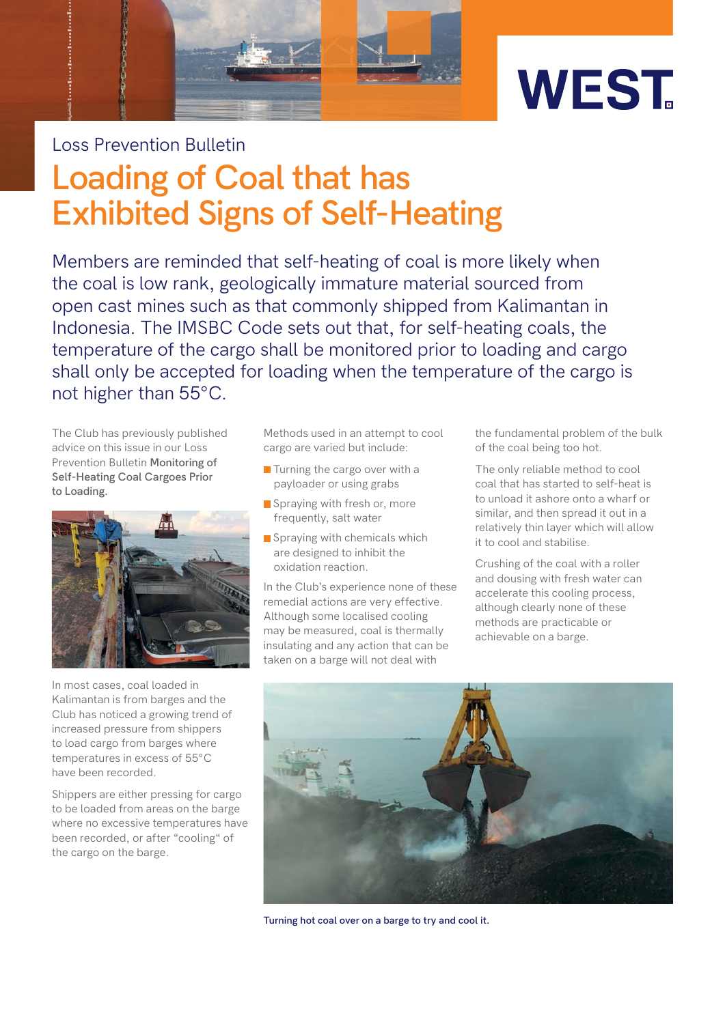



## Loss Prevention Bulletin

## **Loading of Coal that has Exhibited Signs of Self-Heating**

Members are reminded that self-heating of coal is more likely when the coal is low rank, geologically immature material sourced from open cast mines such as that commonly shipped from Kalimantan in Indonesia. The IMSBC Code sets out that, for self-heating coals, the temperature of the cargo shall be monitored prior to loading and cargo shall only be accepted for loading when the temperature of the cargo is not higher than 55°C.

The Club has previously published advice on this issue in our Loss Prevention Bulletin **Monitoring of [Self-Heating Coal Cargoes Prior](https://www.westpandi.com/getattachment/1c92c54e-fd44-4197-80f7-4ceebaac73ae/loss-prevention-bulletin-monitoring-of-self-heating-coal-cargoes-prior-to-loading.pdf)  to Loading.**



In most cases, coal loaded in Kalimantan is from barges and the Club has noticed a growing trend of increased pressure from shippers to load cargo from barges where temperatures in excess of 55°C have been recorded.

Shippers are either pressing for cargo to be loaded from areas on the barge where no excessive temperatures have been recorded, or after "cooling" of the cargo on the barge.

Methods used in an attempt to cool cargo are varied but include:

- $\blacksquare$  Turning the cargo over with a payloader or using grabs
- Spraying with fresh or, more frequently, salt water
- Spraying with chemicals which are designed to inhibit the oxidation reaction.

In the Club's experience none of these remedial actions are very effective. Although some localised cooling may be measured, coal is thermally insulating and any action that can be taken on a barge will not deal with

the fundamental problem of the bulk of the coal being too hot.

The only reliable method to cool coal that has started to self-heat is to unload it ashore onto a wharf or similar, and then spread it out in a relatively thin layer which will allow it to cool and stabilise.

Crushing of the coal with a roller and dousing with fresh water can accelerate this cooling process, although clearly none of these methods are practicable or achievable on a barge.



**Turning hot coal over on a barge to try and cool it.**